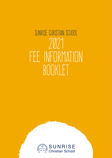## SUNRISE CHRISTIAN SCHOOL 2021 FEE INFORMATION BOOKLET

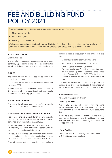### FEE AND BUILDING FUND POLICY 2021

Sunrise Christian School is primarily financed by three sources of income:

- Government Grants
- **Fees from Parents**
- Building Fund Donations

We believe in enabling all families to have a Christian Education if they so desire, therefore we have a Fee Schedule to help those families in low income brackets and those who have several children.

#### **1. NEW ENROLMENT**

#### Confirmation Fee

There is a \$200 non-refundable confirmation fee required per family. Upon commencing school, the confirmation fee will be deducted by us from your tuition fee balance.

#### 2. FEES

The annual amount for school fees will be billed at the beginning of the year.

All accounts for the year must be finalised by the 30th November 2021.

Parents should contact the Finance Office on 8465 6034 if they cannot fulfil their commitment on time or require any assistance with their payment plans on FACTS.

#### 3. DISCOUNT ON FEES

Payment of the full year's fees within the first two weeks of Term 1 2021 will attract a discount of 5%.

#### **4. INCOME CONCESSION / FEE REDUCTIONS**

Fee concessions are available to families who consider they cannot meet the payment of full fees and have a combined family income less than \$80,000.

If you were previously approved for school card, or if you are solely dependent on Centrelink benefits, you are strongly encouraged to apply for a fee reduction.

We require that families use combined family income prior to: salary sacrificing, salary packaging, business expenses, investments or allocations to/within trusts.

Proof of income and documentation stated below is

required to receive a reduction in fees charged at this level.

- 2 recent payslips for each working parent
- ATO Notice of Tax assessment for 2019/2020
- Current Centrelink Income Statement (We can obtain your Centrelink Income Statement on your behalf – please contact the School Office or the Finance Office on 8465 6034 to fill in the Centrelink consent form to enable us to do this for you).

If families are unable, or choose not to provide the required proof of income as requested, tuition fees will be charged at the full fee until proof of income is received.

#### **5. PAYMENT OF FEES**

via FACTS Management System

#### - Existing Families

Your FACTS account will continue with the same payment plan and details. If you are needing to change any information please go into your FACTS account to do this.

If you have any difficulties please call the FACTS customer service team, they will be waiting to take your calls from 9am - 5pm (Monday to Friday) on 1300FACTS1 (or 1300 322 871).

#### **- New Families**

The School uses FACTS Management System which is a 24/7 tuition payment solution.

2 Sunrise Christian School — Fee Information 2021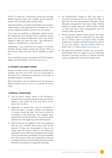FACTS is online as a self-service portal and provides flexible payment plans with multiple secure payment options and a friendly parent support desk.

Using this solution, your family will be able to set up plans, review history, track payments and manage your own account details anywhere, anytime, from any device.

If you have any questions or difficulties, please contact the experienced and friendly FACTS customer service team, who are based in Melbourne (VIC). They will be waiting to take your calls from 9am - 5pm (Monday to Friday) on 1300FACTS1 (or 1300 322 871).

Additionally, if you would like the support of Sunrise Christian School, please contact the School Office or the Finance Office and they will be available to assist you.

If you would like to learn more about the FACTS solution, please visit their website: http://factsmgt.com.au

#### **6. STUDENT ACCIDENT COVER**

Student accident cover is automatically provided for all students and the cost of the cover is incorporated in the tuition fee. It provides for payments in the event of specified injuries or accidents.

More information can be obtained from the Insurance Broker, AON at www.aon.com.au or contact the school office.

#### **7. SPECIAL CONDITIONS**

- One full term's written notice to the Principal is required when a student intends to leave the School. Failure to give notice will incur one term's school fees in lieu of notice.
- Application to amend fees may be considered if there has been a change in family circumstances or income during the year. This may be done by completing a Fee Reduction form available upon request from the Finance Office. The new fee will be effective from the beginning of the following term.
- Parents that are not eligible for the Fee Assistance level but who consider they cannot meet the full payment of fees, are encouraged to discuss the matter with the Finance Office. A Fee Reduction Application form is still to be completed, the contents of which will be kept confidential. Forms are available from the Finance Office and applications must be completed by the end of December each year unless financial circumstances change after that date.

- An Administration Charge of \$33 may apply to accounts not paid by the end of the 2nd week of each term to cover administration expenses, unless alternate arrangements have been made. Parents paying by regular payment methods (direct debit) or those that have made arrangements with the Finance Office are exempt.
- FACTS payment options offers parents the ability to change the date of a deduction by a few days, up to 3 times a year if you have a need. If further assistance is required with FACTS payment options at any time, please call the Finance Office on 8465 6034 or email fees@sunrise.sa.edu.au
- By signing the Enrolment Contract, you, as parents, acknowledge that you agree to pay all expenses incurred in pursuing recovery of overdue amounts owing, including (but not limited to) legal costs.